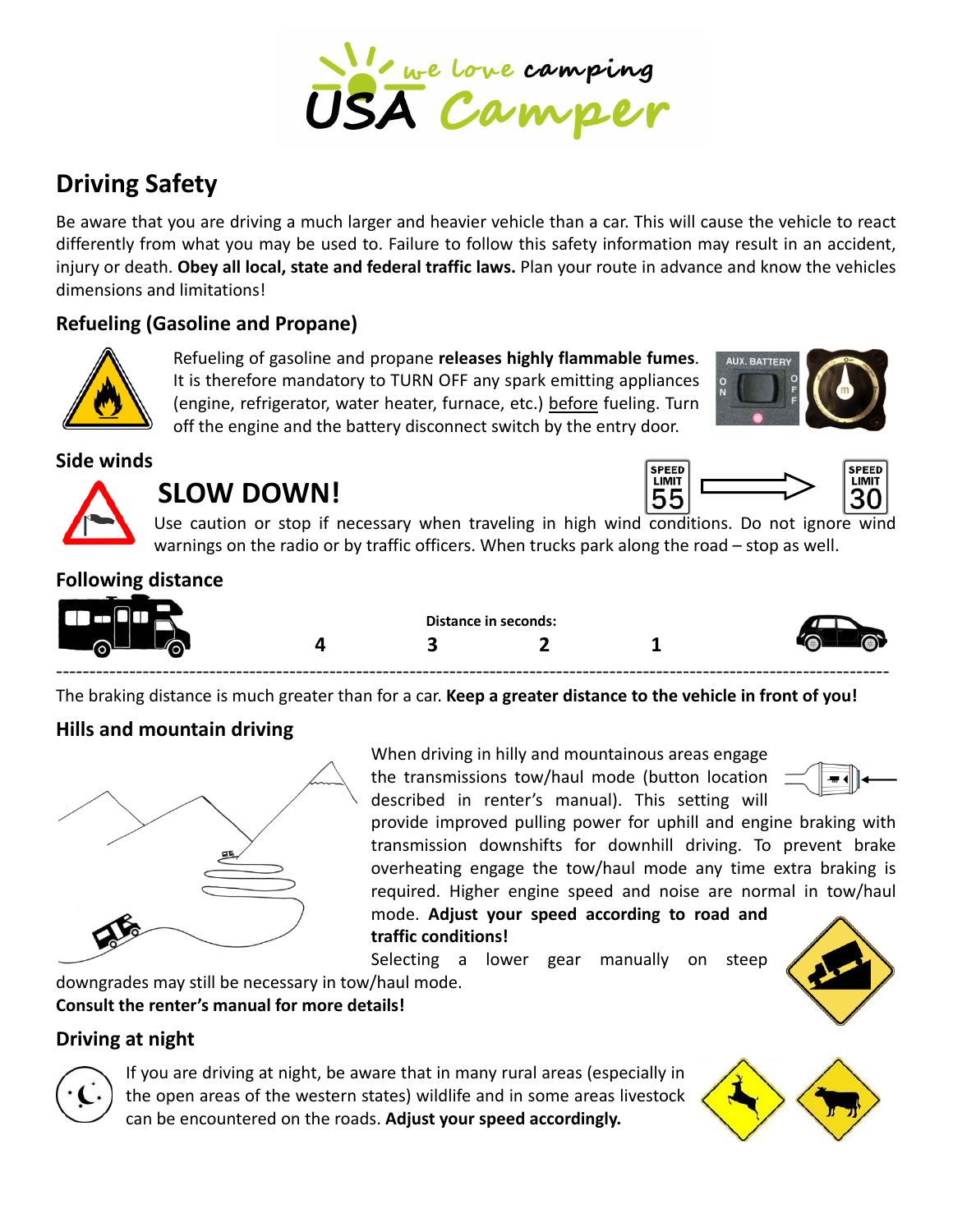

# **Driving Safety**

Be aware that you are driving a much larger and heavier vehicle than a car. This will cause the vehicle to react differently from what you may be used to. Failure to follow this safety information may result in an accident, injury or death. **Obey all local, state and federal traffic laws.** Plan your route in advance and know the vehicles dimensions and limitations!

## **Refueling (Gasoline and Propane)**



Refueling of gasoline and propane **releases highly flammable fumes**. It is therefore mandatory to TURN OFF any spark emitting appliances (engine, refrigerator, water heater, furnace, etc.) before fueling. Turn off the engine and the battery disconnect switch by the entry door.



#### **Side winds**



# **SLOW DOWN!**



Use caution or stop if necessary when traveling in high wind conditions. Do not ignore wind warnings on the radio or by traffic officers. When trucks park along the road – stop as well.

#### **Following distance**



The braking distance is much greater than for a car. **Keep a greater distance to the vehicle in front of you!**

#### **Hills and mountain driving**



**Consult the renter's manual for more details!**

When driving in hilly and mountainous areas engage the transmissions tow/haul mode (button location described in renter's manual). This setting will



provide improved pulling power for uphill and engine braking with transmission downshifts for downhill driving. To prevent brake overheating engage the tow/haul mode any time extra braking is required. Higher engine speed and noise are normal in tow/haul mode. **Adjust your speed according to road and**

#### **traffic conditions!**

Selecting a lower gear manually on steep downgrades may still be necessary in tow/haul mode.



## **Driving at night**



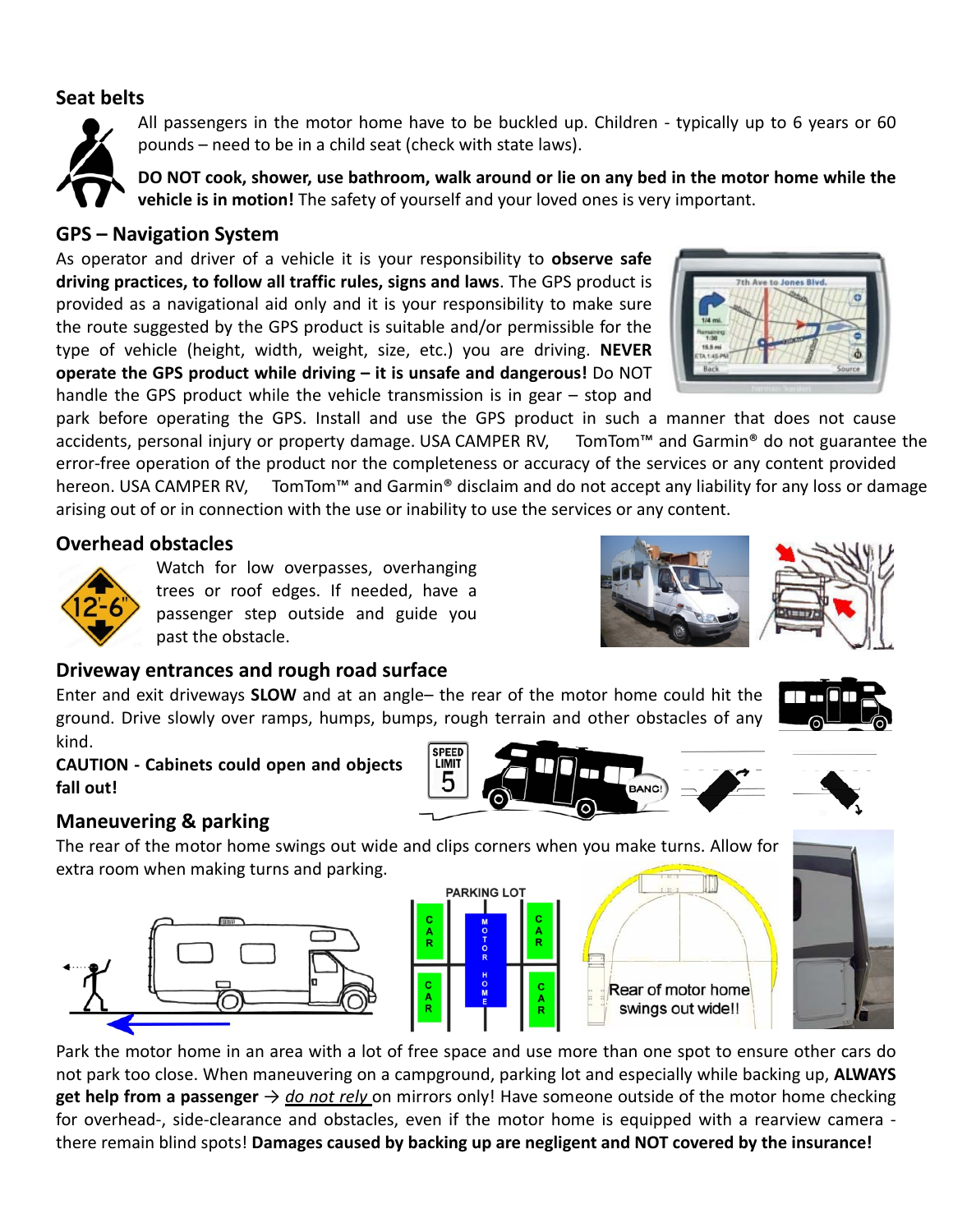#### **Seat belts**



All passengers in the motor home have to be buckled up. Children - typically up to 6 years or 60 pounds – need to be in a child seat (check with state laws).

DO NOT cook, shower, use bathroom, walk around or lie on any bed in the motor home while the **vehicle is in motion!** The safety of yourself and your loved ones is very important.

#### **GPS – Navigation System**

As operator and driver of a vehicle it is your responsibility to **observe safe driving practices, to follow all traffic rules, signs and laws**. The GPS product is provided as a navigational aid only and it is your responsibility to make sure the route suggested by the GPS product is suitable and/or permissible for the type of vehicle (height, width, weight, size, etc.) you are driving. **NEVER operate the GPS product while driving – it is unsafe and dangerous!** Do NOT handle the GPS product while the vehicle transmission is in gear – stop and

park before operating the GPS. Install and use the GPS product in such a manner that does not cause accidents, personal injury or property damage. USA CAMPER RV, TomTom™ and Garmin® do not guarantee the error‐free operation of the product nor the completeness or accuracy of the services or any content provided hereon. USA CAMPER RV, TomTom™ and Garmin® disclaim and do not accept any liability for any loss or damage arising out of or in connection with the use or inability to use the services or any content.

#### **Overhead obstacles**



Watch for low overpasses, overhanging trees or roof edges. If needed, have a passenger step outside and guide you past the obstacle.

#### **Driveway entrances and rough road surface**

Enter and exit driveways **SLOW** and at an angle– the rear of the motor home could hit the ground. Drive slowly over ramps, humps, bumps, rough terrain and other obstacles of any kind. **SPEED** 

LIMIT 5

**CAUTION ‐ Cabinets could open and objects fall out!**

#### **Maneuvering & parking**

The rear of the motor home swings out wide and clips corners when you make turns. Allow for extra room when making turns and parking.









Park the motor home in an area with a lot of free space and use more than one spot to ensure other cars do not park too close. When maneuvering on a campground, parking lot and especially while backing up, **ALWAYS get help from a passenger** → *do not rely* on mirrors only! Have someone outside of the motor home checking for overhead-, side-clearance and obstacles, even if the motor home is equipped with a rearview camera there remain blind spots! **Damages caused by backing up are negligent and NOT covered by the insurance!**





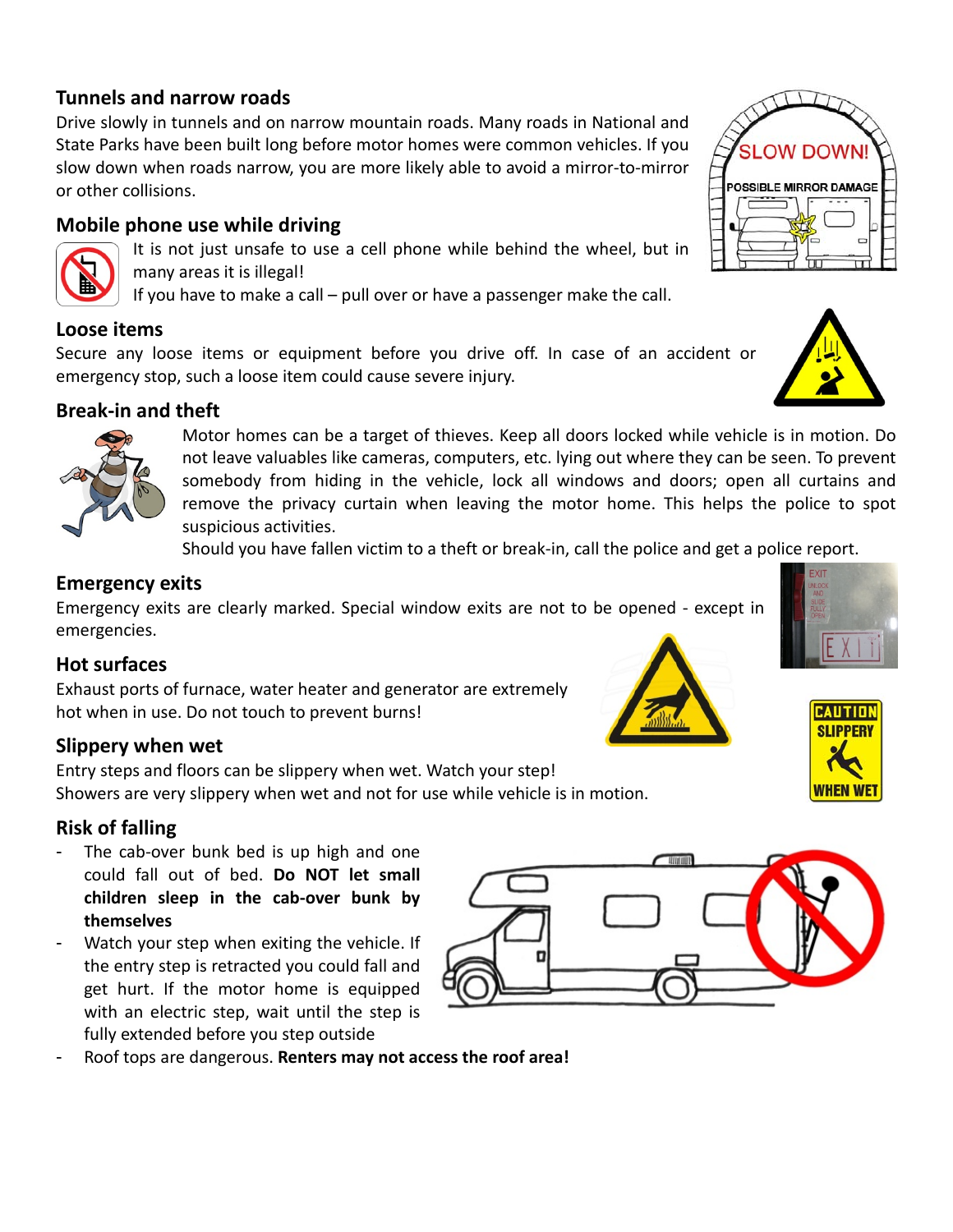#### **Tunnels and narrow roads**

Drive slowly in tunnels and on narrow mountain roads. Many roads in National and State Parks have been built long before motor homes were common vehicles. If you slow down when roads narrow, you are more likely able to avoid a mirror‐to‐mirror or other collisions.

#### **Mobile phone use while driving**



It is not just unsafe to use a cell phone while behind the wheel, but in many areas it is illegal!

If you have to make a call – pull over or have a passenger make the call.

#### **Loose items**

Secure any loose items or equipment before you drive off. In case of an accident or emergency stop, such a loose item could cause severe injury.

#### **Break‐in and theft**



Should you have fallen victim to a theft or break‐in, call the police and get a police report.

#### **Emergency exits**

Emergency exits are clearly marked. Special window exits are not to be opened ‐ except in emergencies.

#### **Hot surfaces**

Exhaust ports of furnace, water heater and generator are extremely hot when in use. Do not touch to prevent burns!

#### **Slippery when wet**

Entry steps and floors can be slippery when wet. Watch your step! Showers are very slippery when wet and not for use while vehicle is in motion.

#### **Risk of falling**

- The cab-over bunk bed is up high and one could fall out of bed. **Do NOT let small children sleep in the cab‐over bunk by themselves**
- Watch your step when exiting the vehicle. If the entry step is retracted you could fall and get hurt. If the motor home is equipped with an electric step, wait until the step is fully extended before you step outside
- Roof tops are dangerous. **Renters may not access the roof area!**